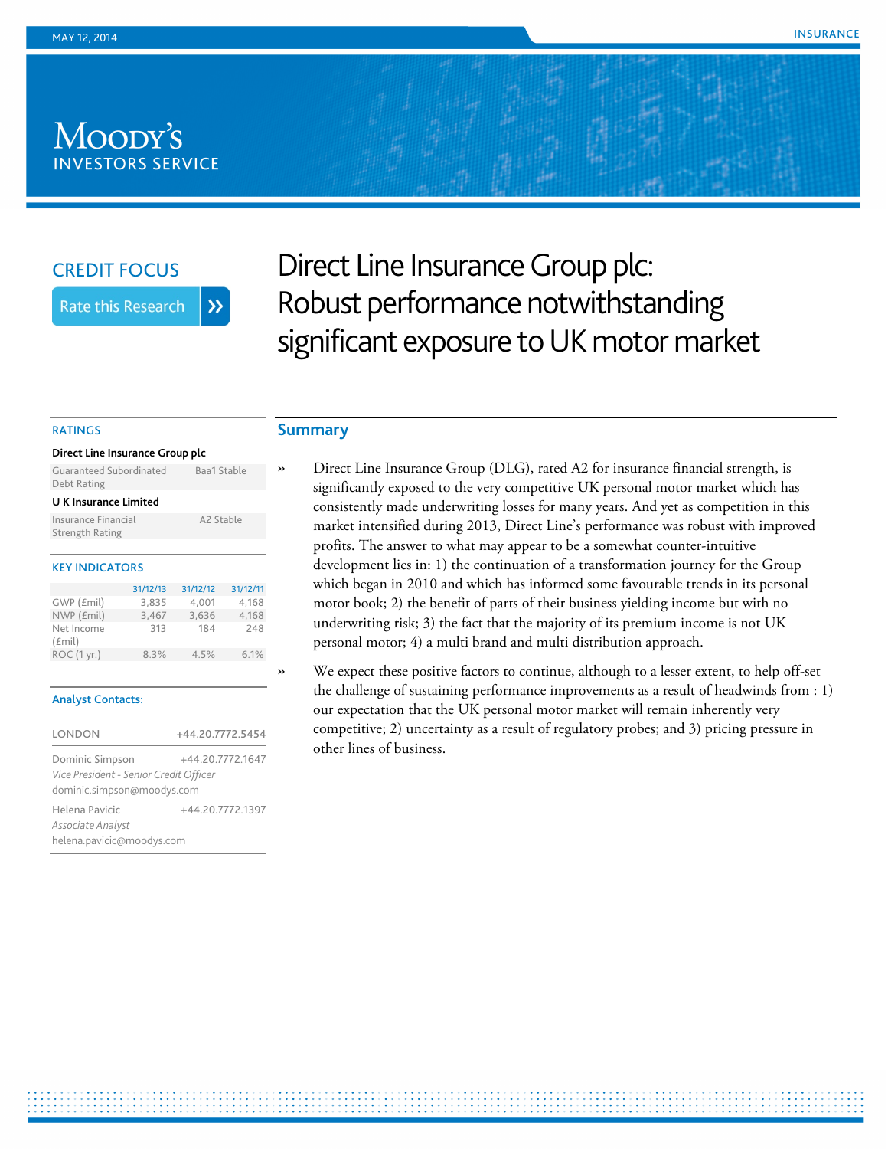# Moody's **INVESTORS SERVICE**

# CREDIT FOCUS

**Rate this Research**  $\lambda$ 

Direct Line Insurance Group plc: Robust performance notwithstanding significant exposure to UK motor market

#### RATINGS

| Direct Line Insurance Group plc        |                       |  |
|----------------------------------------|-----------------------|--|
| Guaranteed Subordinated<br>Debt Rating | Baa1 Stable           |  |
| U K Insurance Limited                  |                       |  |
| Insurance Financial<br>Strength Rating | A <sub>2</sub> Stable |  |
|                                        |                       |  |

## KEY INDICATORS

|                     | 31/12/13 | 31/12/12 | 31/12/11 |
|---------------------|----------|----------|----------|
| GWP (£mil)          | 3.835    | 4.001    | 4.168    |
| NWP (£mil)          | 3,467    | 3,636    | 4,168    |
| Net Income<br>(fmi) | 313      | 184      | 248      |
| ROC (1 yr.)         | 8.3%     | 4.5%     | 6.1%     |

#### Analyst Contacts:

| LONDON                                 | +44.20.7772.5454 |
|----------------------------------------|------------------|
| Dominic Simpson                        | +44.20.7772.1647 |
| Vice President - Senior Credit Officer |                  |
| dominic.simpson@moodys.com             |                  |
| Helena Pavicic                         | +44.20.7772.1397 |
| Associate Analyst                      |                  |
| helena.pavicic@moodys.com              |                  |

# **Summary**

» Direct Line Insurance Group (DLG), rated A2 for insurance financial strength, is significantly exposed to the very competitive UK personal motor market which has consistently made underwriting losses for many years. And yet as competition in this market intensified during 2013, Direct Line's performance was robust with improved profits. The answer to what may appear to be a somewhat counter-intuitive development lies in: 1) the continuation of a transformation journey for the Group which began in 2010 and which has informed some favourable trends in its personal motor book; 2) the benefit of parts of their business yielding income but with no underwriting risk; 3) the fact that the majority of its premium income is not UK personal motor; 4) a multi brand and multi distribution approach.

» We expect these positive factors to continue, although to a lesser extent, to help off-set the challenge of sustaining performance improvements as a result of headwinds from : 1) our expectation that the UK personal motor market will remain inherently very competitive; 2) uncertainty as a result of regulatory probes; and 3) pricing pressure in other lines of business.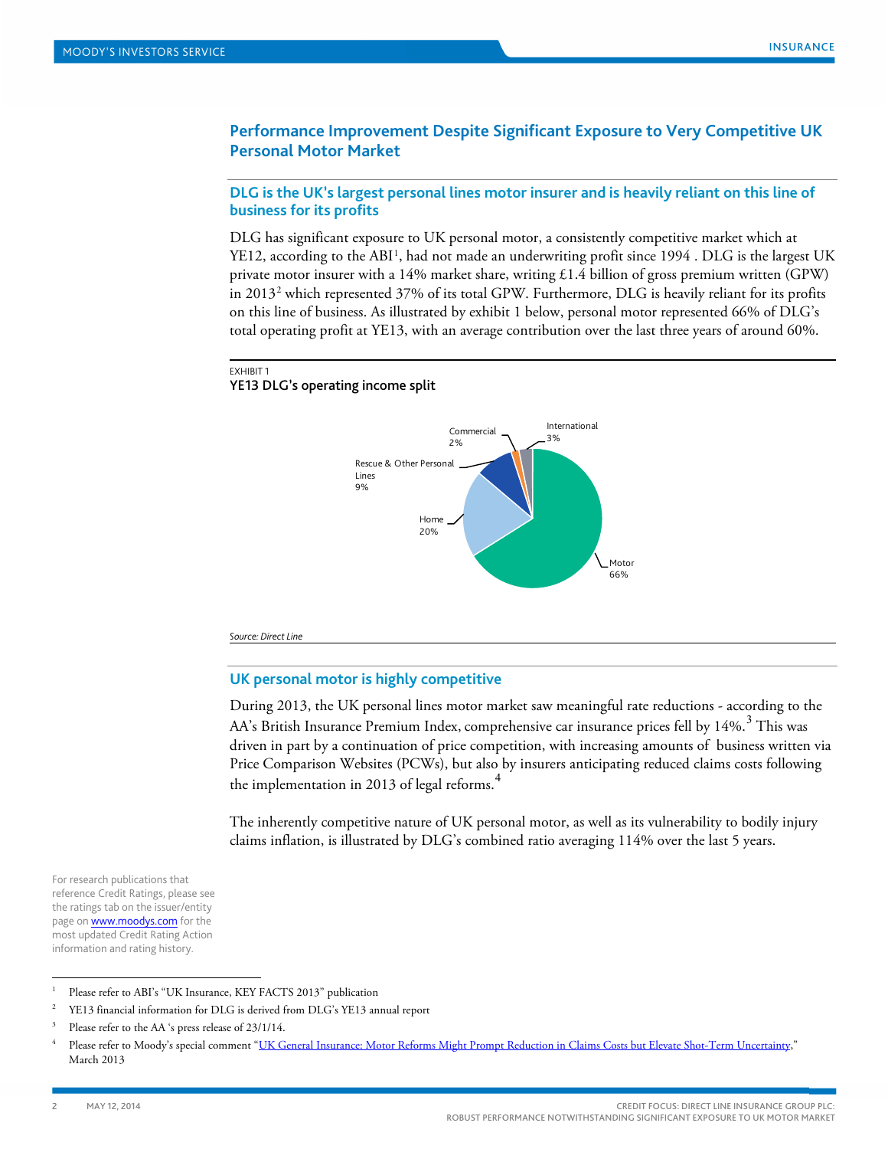# **Performance Improvement Despite Significant Exposure to Very Competitive UK Personal Motor Market**

## **DLG is the UK's largest personal lines motor insurer and is heavily reliant on this line of business for its profits**

DLG has significant exposure to UK personal motor, a consistently competitive market which at YE[1](#page-1-0)2, according to the ABI<sup>1</sup>, had not made an underwriting profit since 1994 . DLG is the largest UK private motor insurer with a 14% market share, writing £1.4 billion of gross premium written (GPW) in 2013[2](#page-1-1) which represented 37% of its total GPW. Furthermore, DLG is heavily reliant for its profits on this line of business. As illustrated by exhibit 1 below, personal motor represented 66% of DLG's total operating profit at YE13, with an average contribution over the last three years of around 60%.

#### EXHIBIT 1

#### YE13 DLG's operating income split



*Source: Direct Line*

## **UK personal motor is highly competitive**

During 2013, the UK personal lines motor market saw meaningful rate reductions - according to the AA's British Insurance Premium Index, comprehensive car insurance prices fell by 14%.<sup>[3](#page-1-2)</sup> This was driven in part by a continuation of price competition, with increasing amounts of business written via Price Comparison Websites (PCWs), but also by insurers anticipating reduced claims costs following the implementation in 2013 of legal reforms.<sup>[4](#page-1-3)</sup>

The inherently competitive nature of UK personal motor, as well as its vulnerability to bodily injury claims inflation, is illustrated by DLG's combined ratio averaging 114% over the last 5 years.

For research publications that reference Credit Ratings, please see the ratings tab on the issuer/entity page on **www.moodys.com** for the most updated Credit Rating Action information and rating history.

<span id="page-1-0"></span><sup>&</sup>lt;sup>1</sup> Please refer to ABI's "UK Insurance, KEY FACTS 2013" publication

<span id="page-1-1"></span><sup>&</sup>lt;sup>2</sup> YE13 financial information for DLG is derived from DLG's YE13 annual report

<span id="page-1-2"></span>Please refer to the AA 's press release of 23/1/14.

<span id="page-1-3"></span><sup>4</sup> Please refer to Moody's special comment ["UK General Insurance: Motor Reforms Might Prompt Reduction in Claims Costs but Elevate Shot-Term Uncertainty,](http://www.moodys.com/viewresearchdoc.aspx?docid=PBC_151665)" March 2013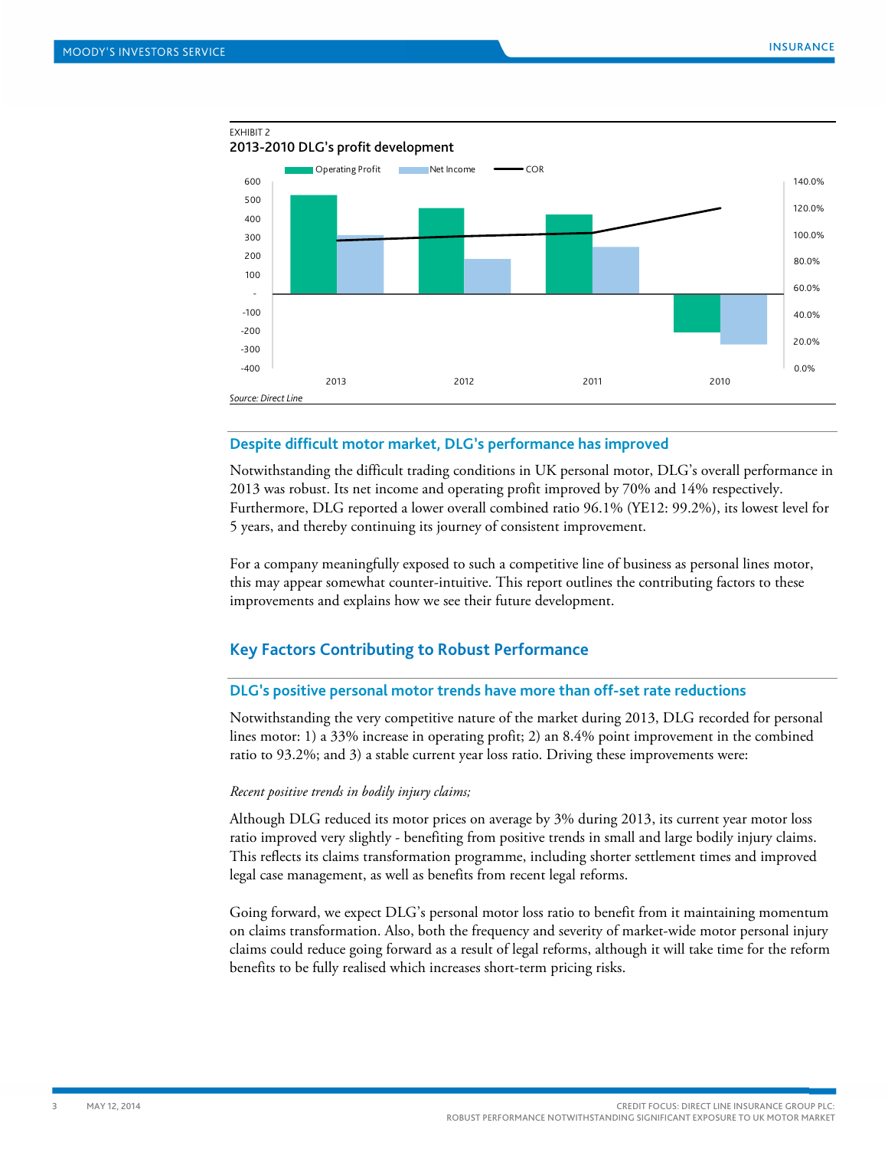

## **Despite difficult motor market, DLG's performance has improved**

Notwithstanding the difficult trading conditions in UK personal motor, DLG's overall performance in 2013 was robust. Its net income and operating profit improved by 70% and 14% respectively. Furthermore, DLG reported a lower overall combined ratio 96.1% (YE12: 99.2%), its lowest level for 5 years, and thereby continuing its journey of consistent improvement.

For a company meaningfully exposed to such a competitive line of business as personal lines motor, this may appear somewhat counter-intuitive. This report outlines the contributing factors to these improvements and explains how we see their future development.

# **Key Factors Contributing to Robust Performance**

### **DLG's positive personal motor trends have more than off-set rate reductions**

Notwithstanding the very competitive nature of the market during 2013, DLG recorded for personal lines motor: 1) a 33% increase in operating profit; 2) an 8.4% point improvement in the combined ratio to 93.2%; and 3) a stable current year loss ratio. Driving these improvements were:

#### *Recent positive trends in bodily injury claims;*

Although DLG reduced its motor prices on average by 3% during 2013, its current year motor loss ratio improved very slightly - benefiting from positive trends in small and large bodily injury claims. This reflects its claims transformation programme, including shorter settlement times and improved legal case management, as well as benefits from recent legal reforms.

Going forward, we expect DLG's personal motor loss ratio to benefit from it maintaining momentum on claims transformation. Also, both the frequency and severity of market-wide motor personal injury claims could reduce going forward as a result of legal reforms, although it will take time for the reform benefits to be fully realised which increases short-term pricing risks.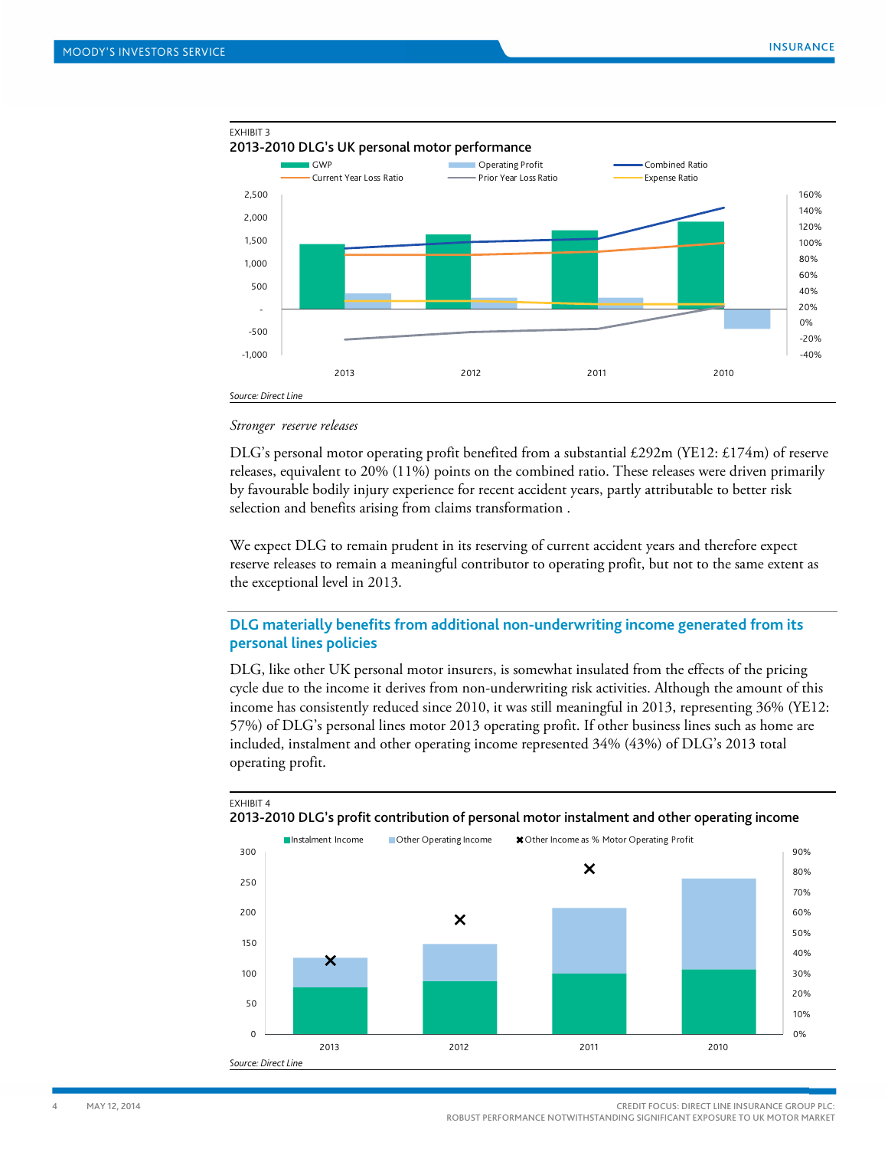

### *Stronger reserve releases*

DLG's personal motor operating profit benefited from a substantial £292m (YE12: £174m) of reserve releases, equivalent to 20% (11%) points on the combined ratio. These releases were driven primarily by favourable bodily injury experience for recent accident years, partly attributable to better risk selection and benefits arising from claims transformation .

We expect DLG to remain prudent in its reserving of current accident years and therefore expect reserve releases to remain a meaningful contributor to operating profit, but not to the same extent as the exceptional level in 2013.

# **DLG materially benefits from additional non-underwriting income generated from its personal lines policies**

DLG, like other UK personal motor insurers, is somewhat insulated from the effects of the pricing cycle due to the income it derives from non-underwriting risk activities. Although the amount of this income has consistently reduced since 2010, it was still meaningful in 2013, representing 36% (YE12: 57%) of DLG's personal lines motor 2013 operating profit. If other business lines such as home are included, instalment and other operating income represented 34% (43%) of DLG's 2013 total operating profit.



#### EXHIBIT 4 2013-2010 DLG's profit contribution of personal motor instalment and other operating income

4 MAY 12, 2014 CREDIT FOCUS: DIRECT LINE INSURANCE GROUP PLC: ROBUST PERFORMANCE NOTWITHSTANDING SIGNIFICANT EXPOSURE TO UK MOTOR MARKET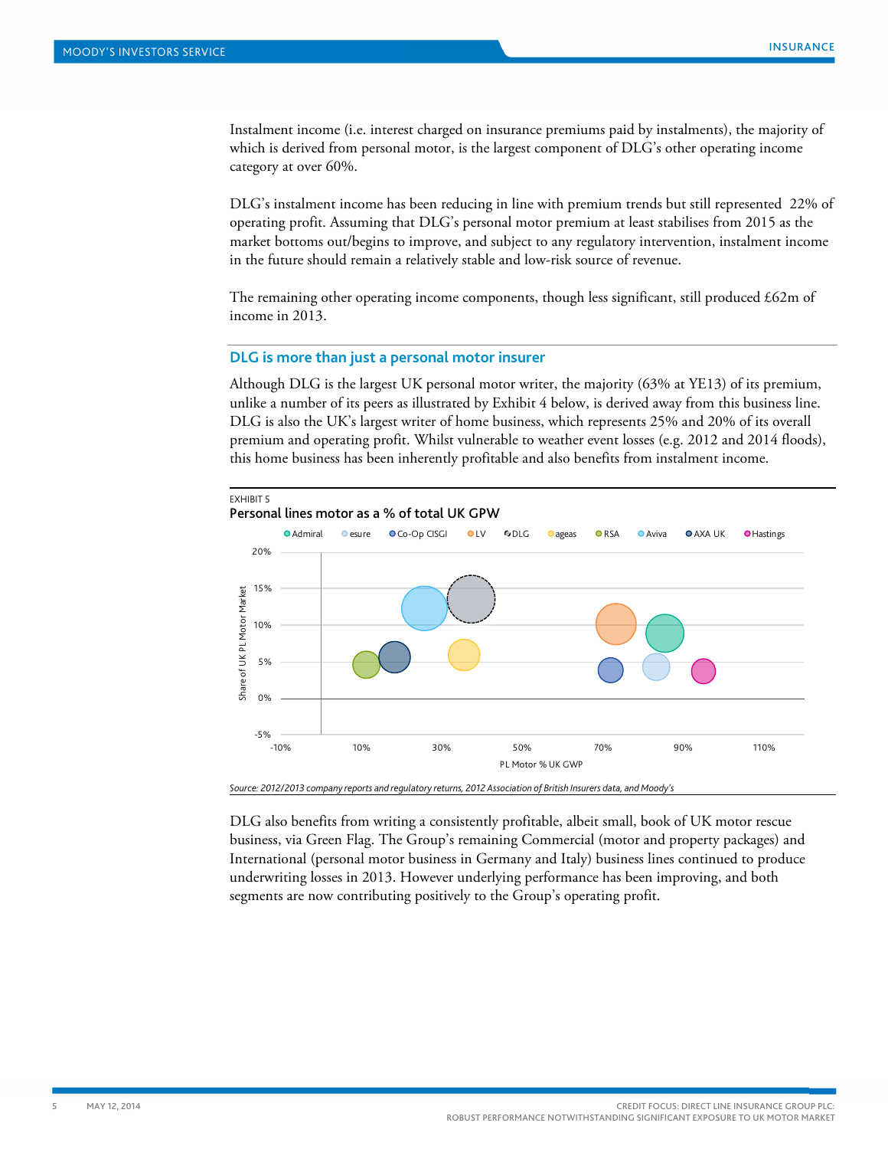Instalment income (i.e. interest charged on insurance premiums paid by instalments), the majority of which is derived from personal motor, is the largest component of DLG's other operating income category at over 60%.

DLG's instalment income has been reducing in line with premium trends but still represented 22% of operating profit. Assuming that DLG's personal motor premium at least stabilises from 2015 as the market bottoms out/begins to improve, and subject to any regulatory intervention, instalment income in the future should remain a relatively stable and low-risk source of revenue.

The remaining other operating income components, though less significant, still produced  $\text{\pounds}62m$  of income in 2013.

## **DLG is more than just a personal motor insurer**

Although DLG is the largest UK personal motor writer, the majority (63% at YE13) of its premium, unlike a number of its peers as illustrated by Exhibit 4 below, is derived away from this business line. DLG is also the UK's largest writer of home business, which represents 25% and 20% of its overall premium and operating profit. Whilst vulnerable to weather event losses (e.g. 2012 and 2014 floods), this home business has been inherently profitable and also benefits from instalment income.



*Source: 2012/2013 company reports and regulatory returns, 2012 Association of British Insurers data, and Moody's*

DLG also benefits from writing a consistently profitable, albeit small, book of UK motor rescue business, via Green Flag. The Group's remaining Commercial (motor and property packages) and International (personal motor business in Germany and Italy) business lines continued to produce underwriting losses in 2013. However underlying performance has been improving, and both segments are now contributing positively to the Group's operating profit.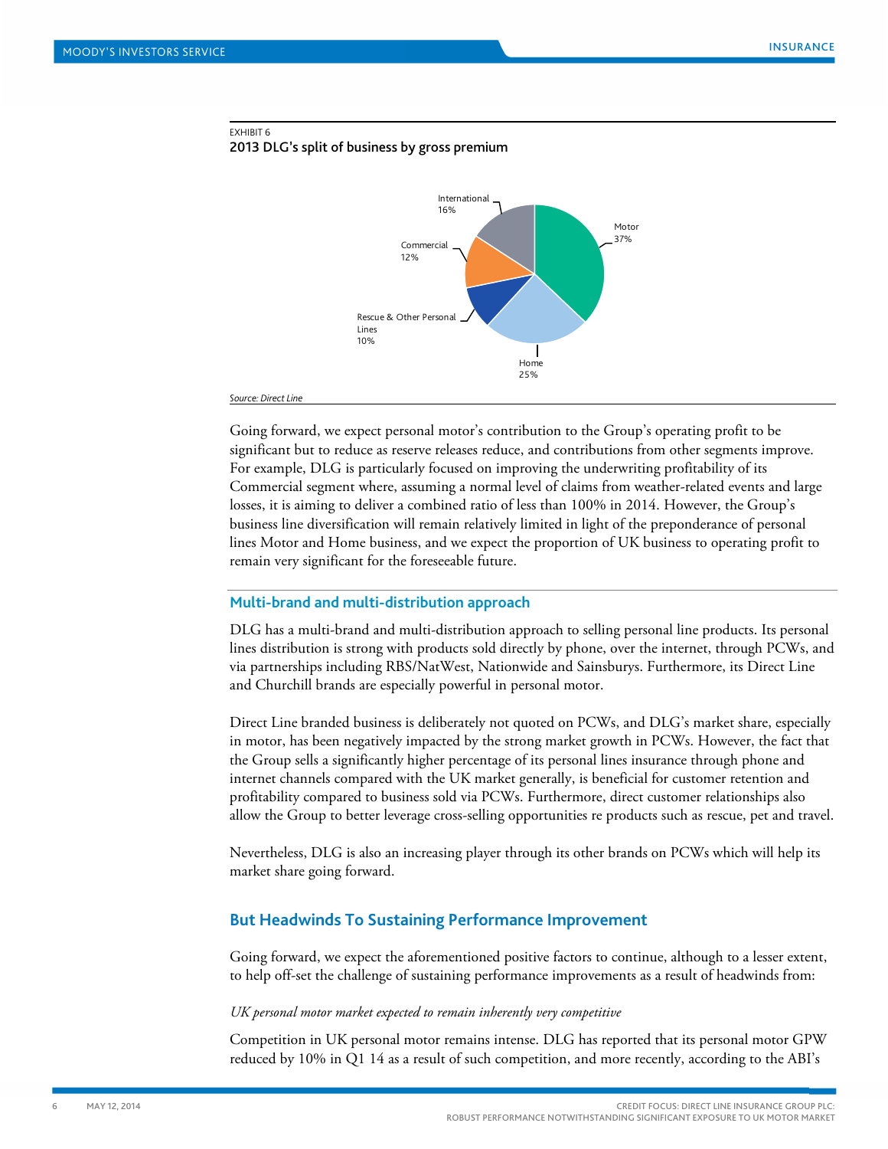

2013 DLG's split of business by gross premium



#### *Source: Direct Line*

Going forward, we expect personal motor's contribution to the Group's operating profit to be significant but to reduce as reserve releases reduce, and contributions from other segments improve. For example, DLG is particularly focused on improving the underwriting profitability of its Commercial segment where, assuming a normal level of claims from weather-related events and large losses, it is aiming to deliver a combined ratio of less than 100% in 2014. However, the Group's business line diversification will remain relatively limited in light of the preponderance of personal lines Motor and Home business, and we expect the proportion of UK business to operating profit to remain very significant for the foreseeable future.

#### **Multi-brand and multi-distribution approach**

DLG has a multi-brand and multi-distribution approach to selling personal line products. Its personal lines distribution is strong with products sold directly by phone, over the internet, through PCWs, and via partnerships including RBS/NatWest, Nationwide and Sainsburys. Furthermore, its Direct Line and Churchill brands are especially powerful in personal motor.

Direct Line branded business is deliberately not quoted on PCWs, and DLG's market share, especially in motor, has been negatively impacted by the strong market growth in PCWs. However, the fact that the Group sells a significantly higher percentage of its personal lines insurance through phone and internet channels compared with the UK market generally, is beneficial for customer retention and profitability compared to business sold via PCWs. Furthermore, direct customer relationships also allow the Group to better leverage cross-selling opportunities re products such as rescue, pet and travel.

Nevertheless, DLG is also an increasing player through its other brands on PCWs which will help its market share going forward.

## **But Headwinds To Sustaining Performance Improvement**

Going forward, we expect the aforementioned positive factors to continue, although to a lesser extent, to help off-set the challenge of sustaining performance improvements as a result of headwinds from:

#### *UK personal motor market expected to remain inherently very competitive*

Competition in UK personal motor remains intense. DLG has reported that its personal motor GPW reduced by 10% in Q1 14 as a result of such competition, and more recently, according to the ABI's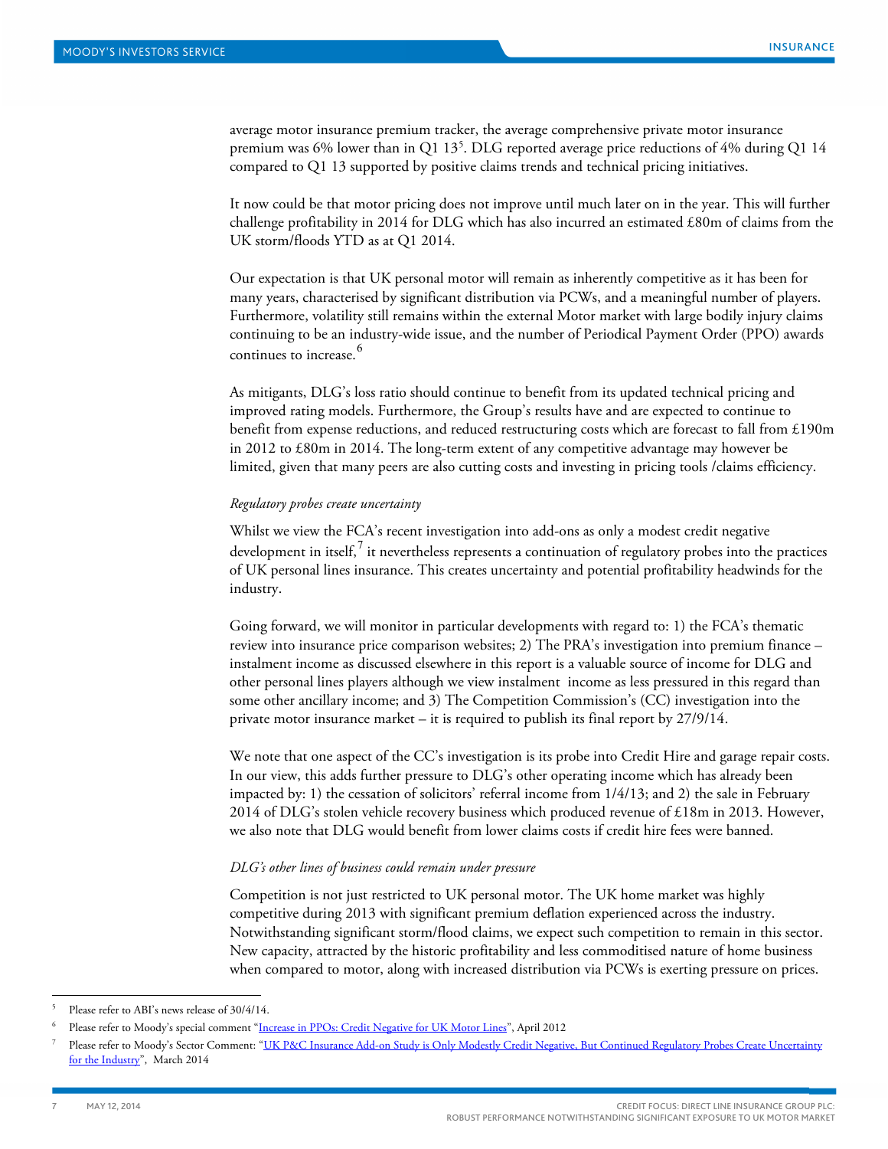average motor insurance premium tracker, the average comprehensive private motor insurance premium was 6% lower than in Q1 13<sup>5</sup>. DLG reported average price reductions of 4% during Q1 14 compared to Q1 13 supported by positive claims trends and technical pricing initiatives.

It now could be that motor pricing does not improve until much later on in the year. This will further challenge profitability in 2014 for DLG which has also incurred an estimated  $£80m$  of claims from the UK storm/floods YTD as at Q1 2014.

Our expectation is that UK personal motor will remain as inherently competitive as it has been for many years, characterised by significant distribution via PCWs, and a meaningful number of players. Furthermore, volatility still remains within the external Motor market with large bodily injury claims continuing to be an industry-wide issue, and the number of Periodical Payment Order (PPO) awards continues to increase.<sup>[6](#page-6-1)</sup>

As mitigants, DLG's loss ratio should continue to benefit from its updated technical pricing and improved rating models. Furthermore, the Group's results have and are expected to continue to benefit from expense reductions, and reduced restructuring costs which are forecast to fall from £190m in 2012 to £80m in 2014. The long-term extent of any competitive advantage may however be limited, given that many peers are also cutting costs and investing in pricing tools /claims efficiency.

#### *Regulatory probes create uncertainty*

Whilst we view the FCA's recent investigation into add-ons as only a modest credit negative development in itself, $^7$  $^7$  it nevertheless represents a continuation of regulatory probes into the practices of UK personal lines insurance. This creates uncertainty and potential profitability headwinds for the industry.

Going forward, we will monitor in particular developments with regard to: 1) the FCA's thematic review into insurance price comparison websites; 2) The PRA's investigation into premium finance – instalment income as discussed elsewhere in this report is a valuable source of income for DLG and other personal lines players although we view instalment income as less pressured in this regard than some other ancillary income; and 3) The Competition Commission's (CC) investigation into the private motor insurance market – it is required to publish its final report by 27/9/14.

We note that one aspect of the CC's investigation is its probe into Credit Hire and garage repair costs. In our view, this adds further pressure to DLG's other operating income which has already been impacted by: 1) the cessation of solicitors' referral income from 1/4/13; and 2) the sale in February 2014 of DLG's stolen vehicle recovery business which produced revenue of £18m in 2013. However, we also note that DLG would benefit from lower claims costs if credit hire fees were banned.

#### *DLG's other lines of business could remain under pressure*

Competition is not just restricted to UK personal motor. The UK home market was highly competitive during 2013 with significant premium deflation experienced across the industry. Notwithstanding significant storm/flood claims, we expect such competition to remain in this sector. New capacity, attracted by the historic profitability and less commoditised nature of home business when compared to motor, along with increased distribution via PCWs is exerting pressure on prices.

<span id="page-6-0"></span>Please refer to ABI's news release of 30/4/14.

<span id="page-6-1"></span>Please refer to Moody's special comment ["Increase in PPOs: Credit Negative for UK Motor Lines"](http://www.moodys.com/viewresearchdoc.aspx?docid=PBC_140902), April 2012

<span id="page-6-2"></span>Please refer to Moody's Sector Comment: "UK P&C Insurance Add-on Study is Only Modestly Credit Negative, But Continued Regulatory Probes Create Uncertainty [for the Industry"](http://www.moodys.com/viewresearchdoc.aspx?docid=PBC_165993), March 2014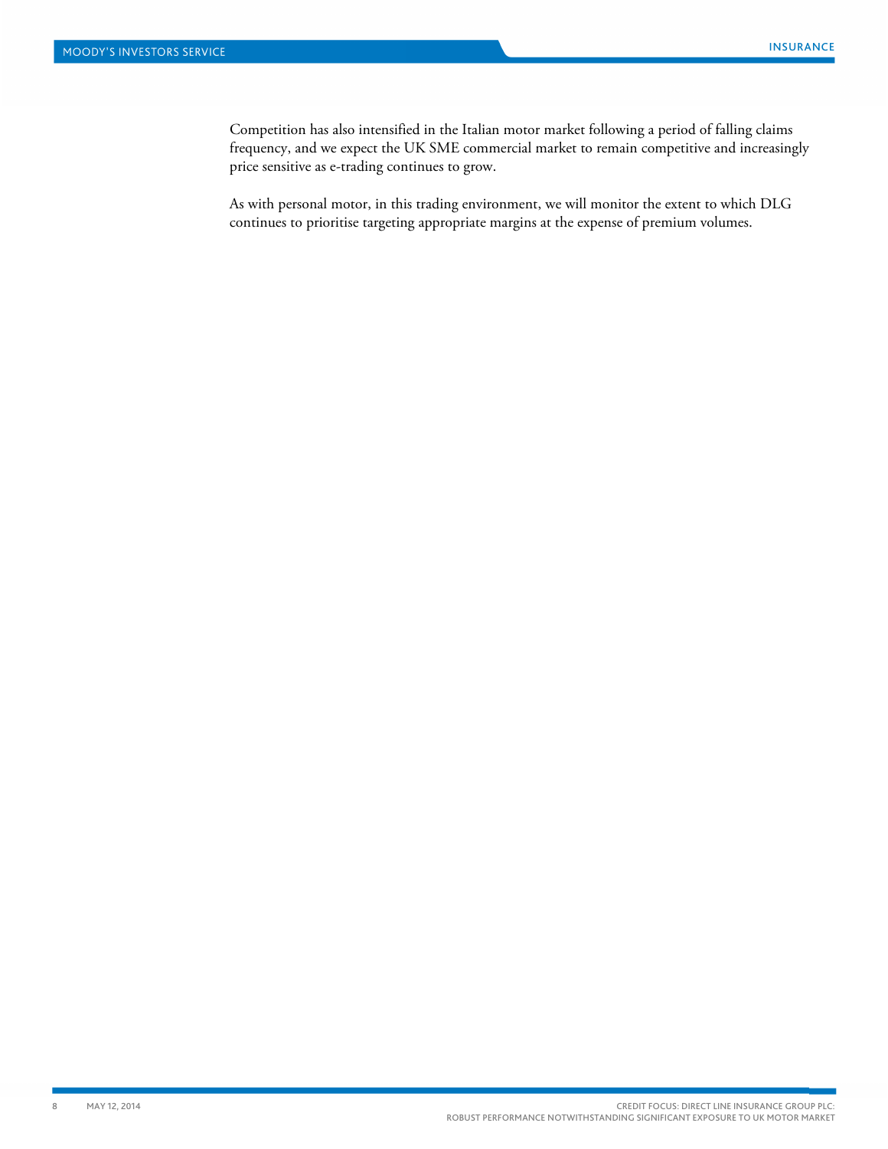Competition has also intensified in the Italian motor market following a period of falling claims frequency, and we expect the UK SME commercial market to remain competitive and increasingly price sensitive as e-trading continues to grow.

As with personal motor, in this trading environment, we will monitor the extent to which DLG continues to prioritise targeting appropriate margins at the expense of premium volumes.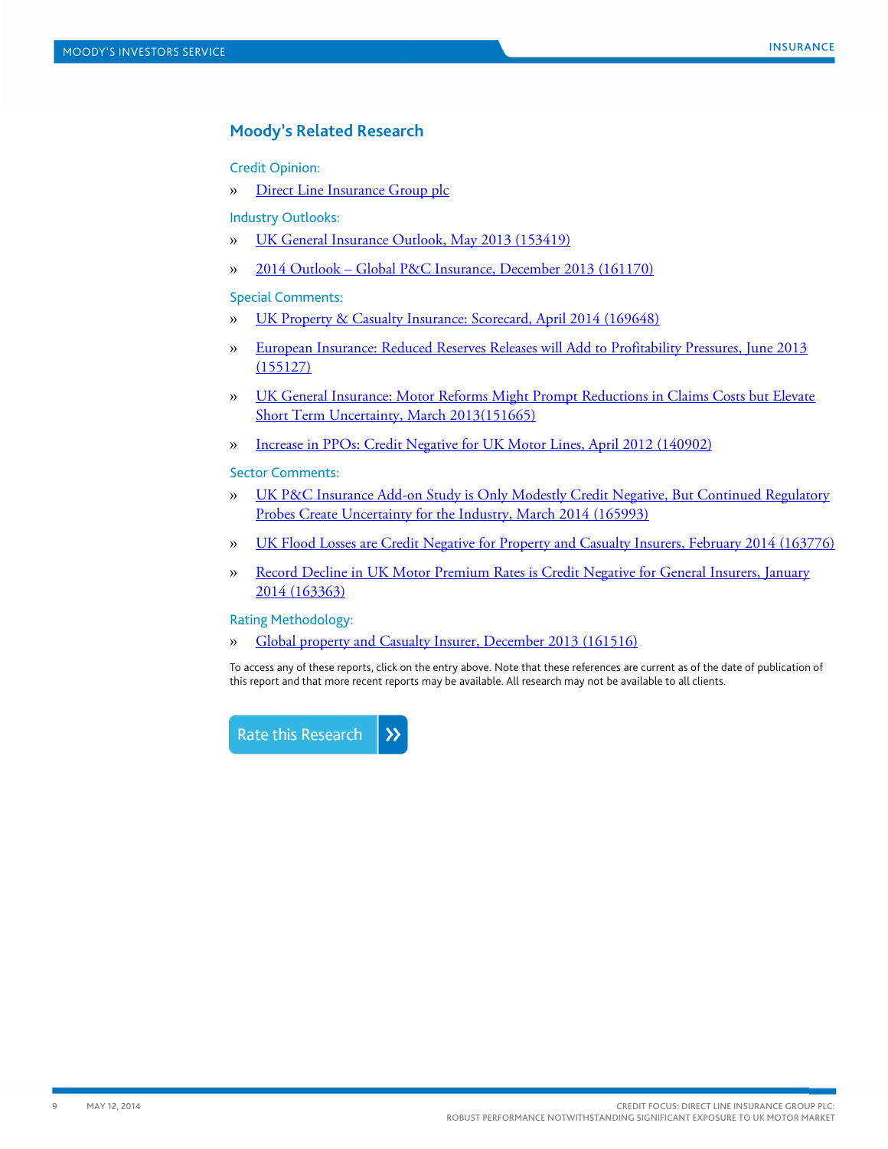# **Moody's Related Research**

Credit Opinion:

» Direct Line [Insurance Group plc](https://www.moodys.com/research/Direct-Line-Insurance-Group-plc-Credit-Opinion--COP_823134660)

Industry Outlooks:

- » [UK General Insurance Outlook, May 2013 \(153419\)](http://www.moodys.com/viewresearchdoc.aspx?docid=PBC_153419)
- » 2014 Outlook [Global P&C Insurance, December 2013 \(161170\)](http://www.moodys.com/viewresearchdoc.aspx?docid=PBC_161170)

## Special Comments:

- » [UK Property & Casualty Insurance: Scorecard, April 2014 \(169648\)](http://www.moodys.com/viewresearchdoc.aspx?docid=PBC_169648)
- » [European Insurance: Reduced Reserves Releases will Add to Profitability Pressures, June 2013](http://www.moodys.com/viewresearchdoc.aspx?docid=PBC_155127)  [\(155127\)](http://www.moodys.com/viewresearchdoc.aspx?docid=PBC_155127)
- » [UK General Insurance: Motor Reforms Might Prompt Reductions in Claims Costs but Elevate](http://www.moodys.com/viewresearchdoc.aspx?docid=PBC_151665)  Short Term Uncertainty, March 2013(151665)
- » [Increase in PPOs: Credit Negative for UK Motor Lines, April 2012 \(140902\)](http://www.moodys.com/viewresearchdoc.aspx?docid=PBC_140902)

## Sector Comments:

- » [UK P&C Insurance Add-on Study is Only Modestly Credit Negative, But Continued Regulatory](http://www.moodys.com/viewresearchdoc.aspx?docid=PBC_165993)  [Probes Create Uncertainty for the Industry, March 2014 \(165993\)](http://www.moodys.com/viewresearchdoc.aspx?docid=PBC_165993)
- » [UK Flood Losses are Credit Negative for Property and Casualty Insurers, February 2014 \(163776\)](http://www.moodys.com/viewresearchdoc.aspx?docid=PBC_163776)
- » [Record Decline in UK Motor Premium Rates is Credit Negative for General Insurers, January](http://www.moodys.com/viewresearchdoc.aspx?docid=PBC_163363)  [2014 \(163363\)](http://www.moodys.com/viewresearchdoc.aspx?docid=PBC_163363)

## Rating Methodology:

» [Global property and Casualty Insurer, December 2013 \(161516\)](http://www.moodys.com/viewresearchdoc.aspx?docid=PBC_161516) 

To access any of these reports, click on the entry above. Note that these references are current as of the date of publication of this report and that more recent reports may be available. All research may not be available to all clients.